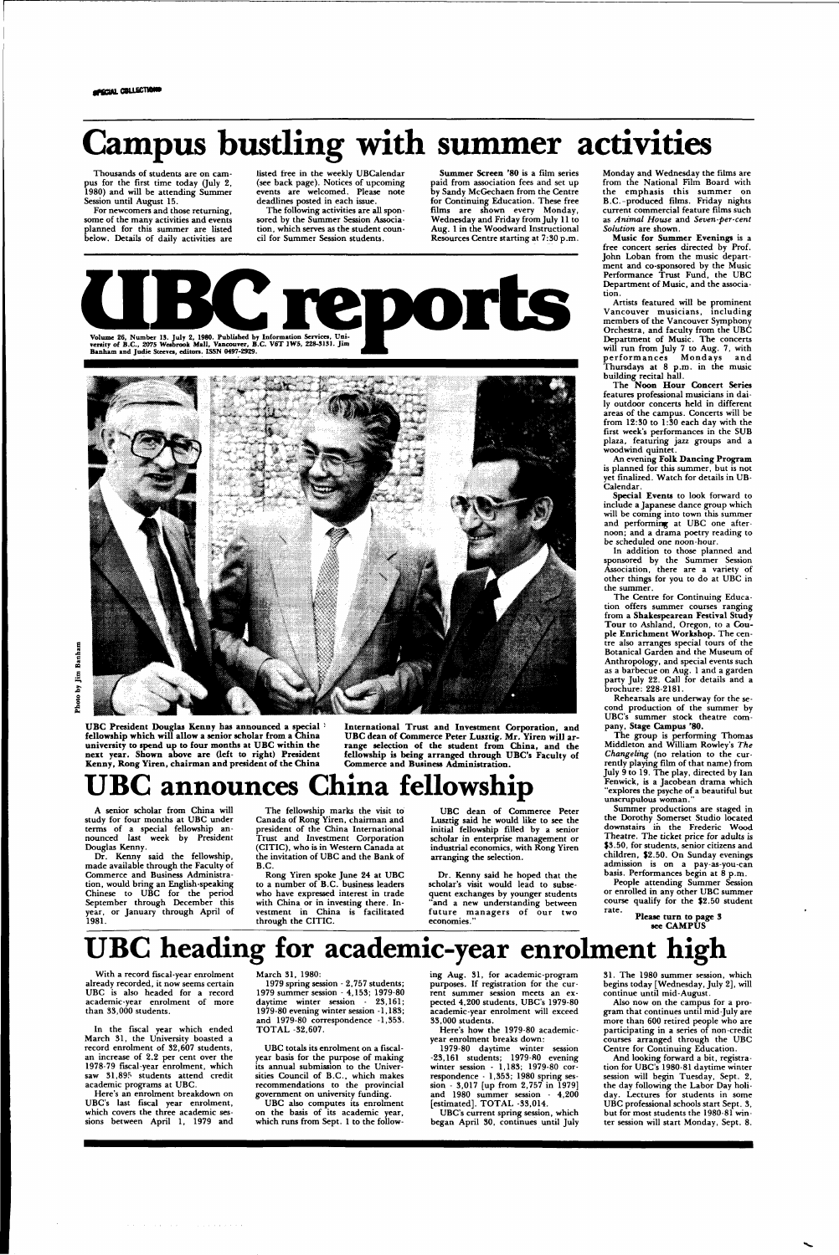Thousands of students are on campus for the first time today (July 2, 1980) and will be attending Summer Session until August 15.

**gpaciol COLLECTIONS** 

# **Campus bustling with summer activities**

For newcomers and those returning, some of the many activities and events planned for this summer are listed below. Details of daily activities are

listed free in the weekly UBCalendar (see back page). Notices of upcoming events are welcomed. Please note deadlines posted in each issue.

The following activities are all sponsored by the Summer Session Association, which serves as the student council for Summer Session students.

**Summer Screen** '80 is a film series paid from association fees and set up by Sandy McGechaen from the Centre for Continuing Education. These free films are shown every Monday, Wednesday and Friday from July 11 to Aug. 1 in the Woodward Instructional Resources Centre starting at 7:30 p.m.





**U BC President Douglas Kenny has announced** a **special fellowship which will allow a senior scholar from a China university to spend up to four months at UBC within the next year. Shown above are (left to right) President Kenny, Rong Yiren, chairman and president of the China** 

> Dr. Kenny said he hoped that the scholar's visit would lead to subsequent exchanges by younger students and a new understanding between future managers of our two econom

**International Trust and Investment Corporation, and U BC dean of Commerce Peter Lusztig. Mr. Yiren will arrange selection of the student from China, and the fellowship is being arranged through UBC's Faculty of Commerce and Business Administration.** 

## announces China fellowship

A senior scholar from China will study for four months at UBC under terms of a special fellowship announced last week by President Douglas Kenny.

Dr. Kenny said the fellowship, made available through the Faculty of Commerce and Business Administration, would bring an English-speaking Chinese to UBC for the period September through December this year, or January through April of 1981.

The fellowship marks the visit to Canada of Rong Yiren, chairman and president of the China International Trust and Investment Corporation (CITIC), who is in Western Canada at the invitation of UBC and the Bank of B.C.

Rong Yiren spoke June 24 at UBC to a number of B.C. business leaders who have expressed interest in trade with China or in investing there. Investment in China is facilitated through the CITIC.

UBC dean of Commerce Peter Lusztig said he would like to see the initial fellowship filled by a senior scholar in enterprise management or industrial economics, with Rong Yiren arranging the selection.

Monday and Wednesday the films are from the National Film Board with the emphasis this summer on B.C.-produced films. Friday nights current commercial feature films such as *Animal House* and *Seven-per-cent Solution* are shown.

1979 spring session - 2,757 students; 1979 summer session - 4,153; 1979-80 daytime winter session - 23,161; 1979-80 evening winter session -1,183; and 1979-80 correspondence -1,353. TOTAL -32,607.

**Music for Summer Evenings** is a free concert series directed by Prof. John Loban from the music department and co-sponsored by the Music Performance Trust Fund, the UBC Department of Music, and the association.

Artists featured will be prominent Vancouver musicians, including members of the Vancouver Symphony Orchestra, and faculty from the UBC Department of Music. The concerts will run from July 7 to Aug. 7, with performances Mondays and Thursdays at 8 p.m. in the music building recital hall.

1979-80 daytime winter session -23,161 students; 1979-80 evening winter session - 1,183; 1979-80 correspondence - 1,353; 1980 spring session - 3.017 [up from 2,757 in 1979] and 1980 summer session - 4,200 [estimated]. TOTAL -33,014.

The **Noon Hour Concert Series**  features professional musicians in daily outdoor concerts held in different areas of the campus. Concerts will be from 12:30 to 1:30 each day with the first week's performances in the SUB plaza, featuring jazz groups and a woodwind quintet.

An evening **Folk Dancing Program**  is planned for this summer, but is not yet finalized. Watch for details in UB-Calendar.

**Special Events** to look forward to include a Japanese dance group which will be coming into town this summer and performing at UBC one afternoon; and a drama poetry reading to be scheduled one noon-hour.

In addition to those planned and sponsored by the Summer Session Association, there are a variety of other things for you to do at UBC in the summer.

The Centre for Continuing Education offers summer courses ranging from a Shakespearean Festival Study **Tour** to Ashland, Oregon, to a Couple Enrichment **Workshop.** The centre also arranges special tours of the Botanical Garden and the Museum of Anthropology, and special events such as a barbecue on Aug. 1 and a garden party July 22. Call for details and a brochure: 228-2181.

Rehearsals are underway for the second production of the summer by UBC's summer stock theatre company, **Stage Campus** '80.

The group is performing Thomas Middleton and William Rowley's *The Changeling* (no relation to the currently playing film of that name) from July 9 to 19. The play, directed by Ian Fenwick, is a Jacobean drama which "explores the psyche of a beautiful but unscrupulous woman."

Summer productions are staged in the Dorothy Somerset Studio located downstairs in the Frederic Wood Theatre. The ticket price for adults is \$3.50, for students, senior citizens and children, \$2.50. On Sunday evenings admission is on a pay-as-you-can basis. Performances begin at 8 p.m.

People attending Summer Session or enrolled in any other UBC summer course qualify for the \$2.50 student rate.

## **UBC heading for academic-year enrolment high**

With a record fiscal-year enrolment already recorded, it now seems certain UBC is also headed for a record academic-year enrolment of more than 33,000 students.

In the fiscal year which ended March 31, the University boasted a record enrolment of 32,607 students, an increase of 2.2 per cent over the 1978-79 fiscal-year enrolment, which saw 31,895 students attend credit academic programs at UBC.

Here's an enrolment breakdown on UBC's last fiscal year enrolment, which covers the three academic sessions between April 1, 1979 and March 31, 1980:

UBC totals its enrolment on a fiscalyear basis for the purpose of making its annual submission to the Universities Council of B.C., which makes recommendations to the provincial government on university funding.

UBC also computes its enrolment on the basis of its academic year, which runs from Sept. 1 to the following Aug. 31, for academic-program purposes. If registration for the current summer session meets an expected 4,200 students, UBC's 1979-80 academic-year enrolment will exceed 33,000 students.

Here's how the 1979-80 academicyear enrolment breaks down:

UBC's current spring session, which began April 30, continues until July 31. The 1980 summer session, which begins today [Wednesday, July 2], will continue until mid-August.

Also now on the campus for a program that continues until mid-July are more than 600 retired people who are participating in a series of non-credit courses arranged through the UBC Centre for Continuing Education.

And looking forward a bit, registration for UBC's 1980-81 daytime winter session will begin Tuesday, Sept. 2, the day following the Labor Day holiday. Lectures for students in some UBC professional schools start Sept. 3, but for most students the 1980-81 winter session will start Monday, Sept. 8.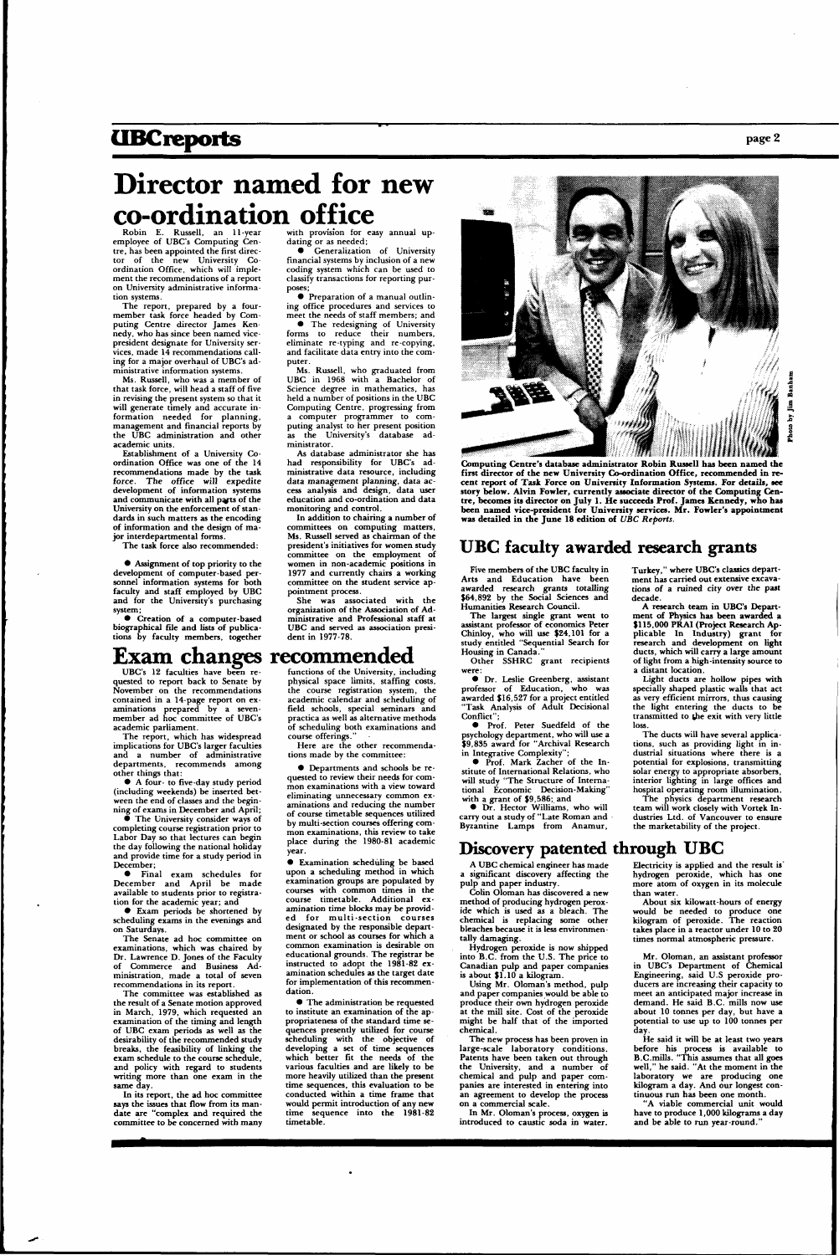### **UBCreports** page 2

## **Director named for new co-ordination office**

Robin E. Russell, an 11-year employee of UBC's Computing Centre, has been appointed the first director of the new University Coordination Office, which will implement the recommendations of a report on University administrative information systems.

The report, prepared by a fourmember task force headed by Computing Centre director James Kennedy, who has since been named vicepresident designate for University services, made 14 recommendations calling for a major overhaul of UBC's administrative information systems.

Ms. Russell, who was a member of that task force, will head a staff of five in revising the present system so that it will generate timely and accurate information needed for planning, management and financial reports by the UBC administration and other academic units.

 $\bullet$  Creation of a computer-based biographical file and lists of publications by faculty members, together

• Generalization of University financial systems by inclusion of a new coding system which can be used to classify transactions for reporting purposes

Establishment of a University Coordination Office was one of the 14 recommendations made by the task force. The office will expedite development of information systems and communicate **with all pajts** of the University on the enforcement of standards in such matters as the encoding of information and the design of major interdepartmental forms.

The task force also recommended:

• Assignment of top priority to the development of computer-based personnel information systems for both faculty and staff employed by UBC and for the University's purchasing system;

with provision for easy annual updating or as needed;

• Preparation of a manual outlining office procedures and services to meet the needs of staff members; and

The University consider ways of completing course registration prior to Labor Day so that lectures can begin the day following the national holiday and provide time for a study period in December;

• The redesigning of University forms to reduce their numbers, eliminate re-typing and re-copying, and facilitate data entry into the computer.

• Exam periods be shortened by heduling exams in the evenings and

Ms. Russell, who graduated from UBC in 1968 with a Bachelor of Science degree in mathematics, has held a number of positions in the UBC Computing Centre, progressing from a computer programmer to computing analyst to her present position as the University's database administrator.

physical space limits, staffing costs, the course registration system, the academic calendar and scheduling of field schools, special seminars and practica as well as alternative methods of scheduling both examinations and course offerings.

As database administrator she has had responsibility for UBC's administrative data resource, including data management planning, data access analysis and design, data user education and co-ordination and data monitoring and control.

In addition to chairing a number of committees on computing matters, Ms. Russell served as chairman of the president's initiatives for women study committee on the employment of women in non-academic positions in 1977 and currently chairs a working committee on the student service appointment process.

She was associated with the organization of the Association of Administrative and Professional staff at UBC and served as association president in 1977-78.

### Exam changes recommended

UBC's 12 faculties have been re quested to report back to Senate by November on the recommendations contained in a 14-page report on examinations prepared by a sevenmember ad hoc committee of UBC's academic parliament.

The report, which has widespread implications for UBC's larger faculties and a number of administrative departments, recommends among other things that:

• A four- to five-day study period (including weekends) be inserted between the end of classes and the beginning of exams in December and April;

The largest single **grant went to**  assistant professor of economics Peter Chinloy, who will use \$24,101 for a study entitled "Sequential Search for Housing in Canada.

• Final exam schedules for December and April be made available to students prior to registration for the academic year; and

on Saturdays.

The Senate ad hoc committee on examinations, which was chaired by Dr. Lawrence D. Jones of the Faculty of Commerce and Business Administration, made a total of seven recommendations in its report.

The committee was established as the result of a Senate motion approved in March, 1979, which requested an examination of the timing and length of UBC exam periods as well as the desirability of the recommended study breaks, the feasibility of linking the exam schedule to the course schedule, and policy with regard to students writing more than one exam in the same day.

In its report, the ad hoc committee **says** the issues that flow from its mandate are "complex and required the committee to be concerned with many

## functions of the University, including

Here are the other recommendations made by the committee:

• Departments and schools be requested to review their needs for common examinations with a view toward eliminating unnecessary common examinations and reducing the number of course timetable sequences utilized by multi-section courses offering common examinations, this review to take place during the 1980-81 academic year.

> He said it will be at least two years before his process is available to B.C.mills. "This assumes that all goes well," he said. "At the moment in the laboratory we are producing one kilogram a day. And our longest continuous run has been one month.

• Examination scheduling be based upon a scheduling method in which examination groups are populated by courses with common times in the course timetable. Additional examination time blocks may be provided for multi-section courses designated by the responsible department or school as courses for which a common examination is desirable on educational grounds. The registrar be instructed to adopt the 1981-82 examination schedules as the target date for implementation of this recommendation. • The administration be requested to institute an examination of the appropriateness of the standard time sequences presently utilized for course scheduling with the objective of developing a set of time sequences which better fit the needs of the various faculties and are likely to be more heavily utilized than the present time sequences, this evaluation to be conducted within a time frame that would permit introduction of any new time sequence into the **1981-82**  timetable.



**first director of the new University Co-ordination Office, recommended in recent report of Task Force on University Information Systems. For details, see story below. Alvin Fowler, currently associate director of the Computing Centre, becomes its director on July 1. He succeeds Prof. James Kennedy, who has been named vice-president for University services. Mr. Fowler's appointment was detailed in the June 18 edition of** *UBC Reports.* 

#### **UBC faculty awarded research grants**

Five members of the UBC faculty in Arts and Education have been awarded research grants totalling \$64,892 by the Social Sciences and Humanities Research Council.

Other SSHRC grant recipients were:

• Dr. Leslie Greenberg, assistant professor of Education, who was awarded \$16,527 for a project entitled "Task Analysis of Adult Decisional Conflict";

• Prof. Peter Suedfeld of the psychology department, who will use a \$9,835 award for "Archival Research in Integrative Complexity";

• Prof. Mark Zacher of the Institute of International Relations, who will study "The Structure of International Economic Decision-Making" with a grant of \$9,586; and

• Dr. Hector Williams, who will carry out a study of "Late Roman and Byzantine Lamps from Anamur, Turkey," where UBC's classics department has carried out extensive excavations of a ruined city over the **past**  decade.

**A research team in UBC's Department of Physics has been awarded a \$115,000 PRAI (Project Research Applicable In Industry) grant for**  research and **development on light ducts, which will carry a large amount**  of light from a high-intensity source to a distant location.

Light ducts are hollow pipes **with**  specially shaped plastic walls that act as very efficient mirrors, thus causing the light entering the ducts to be transmitted to **the** exit with very little loss.

The ducts will have several applications, such as providing light in industrial situations where there is a potential for explosions, transmitting solar energy to appropriate absorbers, interior lighting in large offices and hospital operating room illumination.

The physics department research team will work closely with Vortek Industries Ltd. of Vancouver to ensure the marketability of the project.

#### **Discovery patented through UBC**

A UBC chemical engineer has made a significant discovery affecting the pulp and paper industry.

Colin Oloman has discovered a new method of producing hydrogen peroxide which is used as a bleach. The chemical is replacing some other

bleaches because it is less environmentally damaging.

Hydrogen peroxide is now shipped into B.C. from the U.S. The price to Canadian pulp and paper companies is about \$1.10 a kilogram.

Using Mr. Oloman's method, pulp and paper companies would be able to produce their own hydrogen peroxide at the mill site. Cost of the peroxide might be half that of the imported chemical.

The new process has been proven in large-scale laboratory conditions. Patents have been taken out through the University, and a number of chemical and pulp and paper companies are interested in entering into an agreement to develop the process on a commercial scale.

In Mr. Oloman's process, oxygen is introduced to caustic soda in water.

Electricity is applied and the result is' hydrogen peroxide, which has one more atom of oxygen in its molecule than water.

About six kilowatt-hours of energy would be needed to produce one kilogram of peroxide. The reaction takes place in a reactor under 10 to 20 times normal atmospheric pressure.

Mr. Oloman, an assistant professor in UBC's Department of Chemical Engineering, said U.S peroxide producers are increasing their capacity to meet an anticipated major increase in demand. He said B.C. mills now use about 10 tonnes per day, but have a potential to use up to 100 tonnes per day.

"A viable commercial unit would have to produce 1,000 kilograms a day and be able to run year-round."